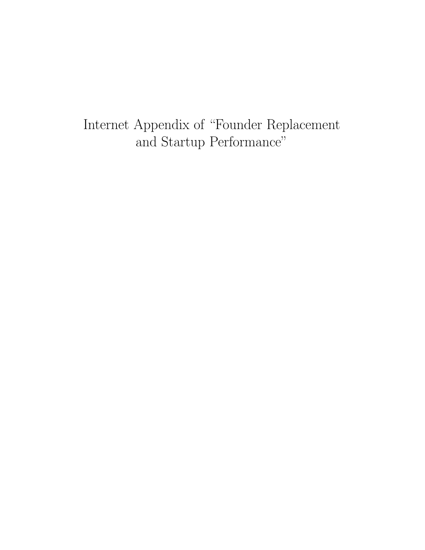Internet Appendix of "Founder Replacement and Startup Performance"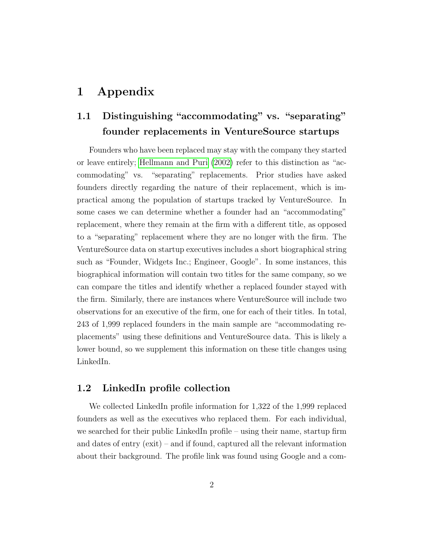# 1 Appendix

# 1.1 Distinguishing "accommodating" vs. "separating" founder replacements in VentureSource startups

Founders who have been replaced may stay with the company they started or leave entirely; [Hellmann and Puri](#page-8-0) [\(2002\)](#page-8-0) refer to this distinction as "accommodating" vs. "separating" replacements. Prior studies have asked founders directly regarding the nature of their replacement, which is impractical among the population of startups tracked by VentureSource. In some cases we can determine whether a founder had an "accommodating" replacement, where they remain at the firm with a different title, as opposed to a "separating" replacement where they are no longer with the firm. The VentureSource data on startup executives includes a short biographical string such as "Founder, Widgets Inc.; Engineer, Google". In some instances, this biographical information will contain two titles for the same company, so we can compare the titles and identify whether a replaced founder stayed with the firm. Similarly, there are instances where VentureSource will include two observations for an executive of the firm, one for each of their titles. In total, 243 of 1,999 replaced founders in the main sample are "accommodating replacements" using these definitions and VentureSource data. This is likely a lower bound, so we supplement this information on these title changes using LinkedIn.

### 1.2 LinkedIn profile collection

We collected LinkedIn profile information for 1,322 of the 1,999 replaced founders as well as the executives who replaced them. For each individual, we searched for their public LinkedIn profile – using their name, startup firm and dates of entry (exit) – and if found, captured all the relevant information about their background. The profile link was found using Google and a com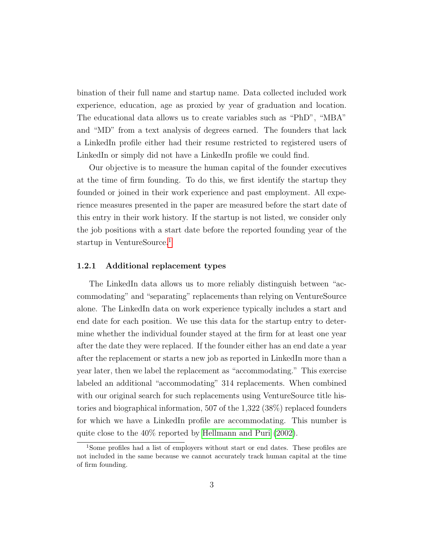bination of their full name and startup name. Data collected included work experience, education, age as proxied by year of graduation and location. The educational data allows us to create variables such as "PhD", "MBA" and "MD" from a text analysis of degrees earned. The founders that lack a LinkedIn profile either had their resume restricted to registered users of LinkedIn or simply did not have a LinkedIn profile we could find.

Our objective is to measure the human capital of the founder executives at the time of firm founding. To do this, we first identify the startup they founded or joined in their work experience and past employment. All experience measures presented in the paper are measured before the start date of this entry in their work history. If the startup is not listed, we consider only the job positions with a start date before the reported founding year of the startup in VentureSource.<sup>[1](#page-2-0)</sup>

#### 1.2.1 Additional replacement types

The LinkedIn data allows us to more reliably distinguish between "accommodating" and "separating" replacements than relying on VentureSource alone. The LinkedIn data on work experience typically includes a start and end date for each position. We use this data for the startup entry to determine whether the individual founder stayed at the firm for at least one year after the date they were replaced. If the founder either has an end date a year after the replacement or starts a new job as reported in LinkedIn more than a year later, then we label the replacement as "accommodating." This exercise labeled an additional "accommodating" 314 replacements. When combined with our original search for such replacements using VentureSource title histories and biographical information, 507 of the 1,322 (38%) replaced founders for which we have a LinkedIn profile are accommodating. This number is quite close to the 40% reported by [Hellmann and Puri](#page-8-0) [\(2002\)](#page-8-0).

<span id="page-2-0"></span><sup>&</sup>lt;sup>1</sup>Some profiles had a list of employers without start or end dates. These profiles are not included in the same because we cannot accurately track human capital at the time of firm founding.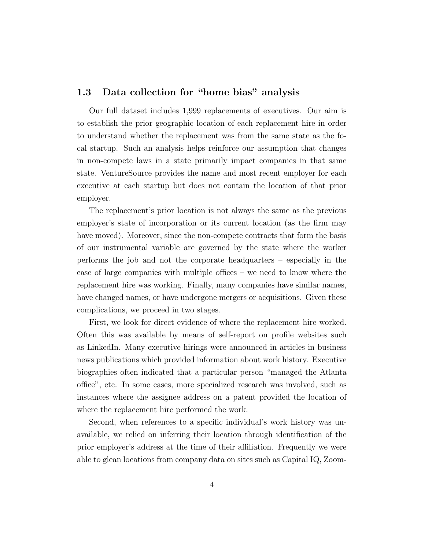## 1.3 Data collection for "home bias" analysis

Our full dataset includes 1,999 replacements of executives. Our aim is to establish the prior geographic location of each replacement hire in order to understand whether the replacement was from the same state as the focal startup. Such an analysis helps reinforce our assumption that changes in non-compete laws in a state primarily impact companies in that same state. VentureSource provides the name and most recent employer for each executive at each startup but does not contain the location of that prior employer.

The replacement's prior location is not always the same as the previous employer's state of incorporation or its current location (as the firm may have moved). Moreover, since the non-compete contracts that form the basis of our instrumental variable are governed by the state where the worker performs the job and not the corporate headquarters – especially in the case of large companies with multiple offices – we need to know where the replacement hire was working. Finally, many companies have similar names, have changed names, or have undergone mergers or acquisitions. Given these complications, we proceed in two stages.

First, we look for direct evidence of where the replacement hire worked. Often this was available by means of self-report on profile websites such as LinkedIn. Many executive hirings were announced in articles in business news publications which provided information about work history. Executive biographies often indicated that a particular person "managed the Atlanta office", etc. In some cases, more specialized research was involved, such as instances where the assignee address on a patent provided the location of where the replacement hire performed the work.

Second, when references to a specific individual's work history was unavailable, we relied on inferring their location through identification of the prior employer's address at the time of their affiliation. Frequently we were able to glean locations from company data on sites such as Capital IQ, Zoom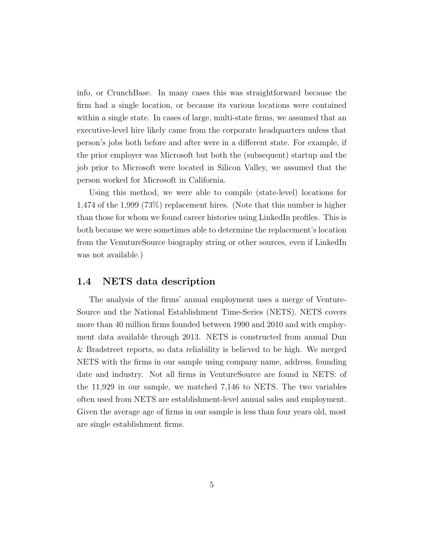info, or CrunchBase. In many cases this was straightforward because the firm had a single location, or because its various locations were contained within a single state. In cases of large, multi-state firms, we assumed that an executive-level hire likely came from the corporate headquarters unless that person's jobs both before and after were in a different state. For example, if the prior employer was Microsoft but both the (subsequent) startup and the job prior to Microsoft were located in Silicon Valley, we assumed that the person worked for Microsoft in California.

Using this method, we were able to compile (state-level) locations for 1,474 of the 1,999 (73%) replacement hires. (Note that this number is higher than those for whom we found career histories using LinkedIn profiles. This is both because we were sometimes able to determine the replacement's location from the VenutureSource biography string or other sources, even if LinkedIn was not available.)

### 1.4 NETS data description

The analysis of the firms' annual employment uses a merge of Venture-Source and the National Establishment Time-Series (NETS). NETS covers more than 40 million firms founded between 1990 and 2010 and with employment data available through 2013. NETS is constructed from annual Dun & Bradstreet reports, so data reliability is believed to be high. We merged NETS with the firms in our sample using company name, address, founding date and industry. Not all firms in VentureSource are found in NETS: of the 11,929 in our sample, we matched 7,146 to NETS. The two variables often used from NETS are establishment-level annual sales and employment. Given the average age of firms in our sample is less than four years old, most are single establishment firms.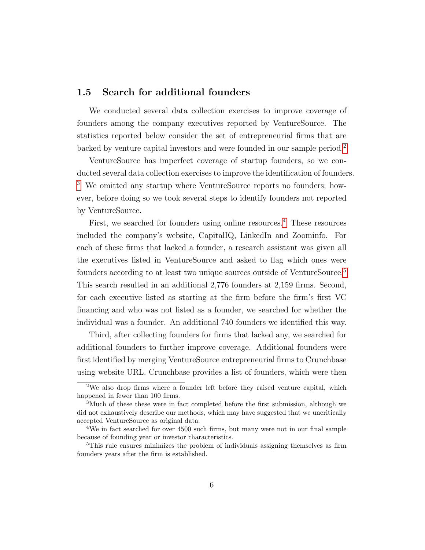### 1.5 Search for additional founders

We conducted several data collection exercises to improve coverage of founders among the company executives reported by VentureSource. The statistics reported below consider the set of entrepreneurial firms that are backed by venture capital investors and were founded in our sample period.[2](#page-5-0)

VentureSource has imperfect coverage of startup founders, so we conducted several data collection exercises to improve the identification of founders. [3](#page-5-1) We omitted any startup where VentureSource reports no founders; however, before doing so we took several steps to identify founders not reported by VentureSource.

First, we searched for founders using online resources.<sup>[4](#page-5-2)</sup> These resources included the company's website, CapitalIQ, LinkedIn and Zoominfo. For each of these firms that lacked a founder, a research assistant was given all the executives listed in VentureSource and asked to flag which ones were founders according to at least two unique sources outside of VentureSource.[5](#page-5-3) This search resulted in an additional 2,776 founders at 2,159 firms. Second, for each executive listed as starting at the firm before the firm's first VC financing and who was not listed as a founder, we searched for whether the individual was a founder. An additional 740 founders we identified this way.

Third, after collecting founders for firms that lacked any, we searched for additional founders to further improve coverage. Additional founders were first identified by merging VentureSource entrepreneurial firms to Crunchbase using website URL. Crunchbase provides a list of founders, which were then

<span id="page-5-0"></span><sup>&</sup>lt;sup>2</sup>We also drop firms where a founder left before they raised venture capital, which happened in fewer than 100 firms.

<span id="page-5-1"></span><sup>&</sup>lt;sup>3</sup>Much of these these were in fact completed before the first submission, although we did not exhaustively describe our methods, which may have suggested that we uncritically accepted VentureSource as original data.

<span id="page-5-2"></span><sup>4</sup>We in fact searched for over 4500 such firms, but many were not in our final sample because of founding year or investor characteristics.

<span id="page-5-3"></span><sup>&</sup>lt;sup>5</sup>This rule ensures minimizes the problem of individuals assigning themselves as firm founders years after the firm is established.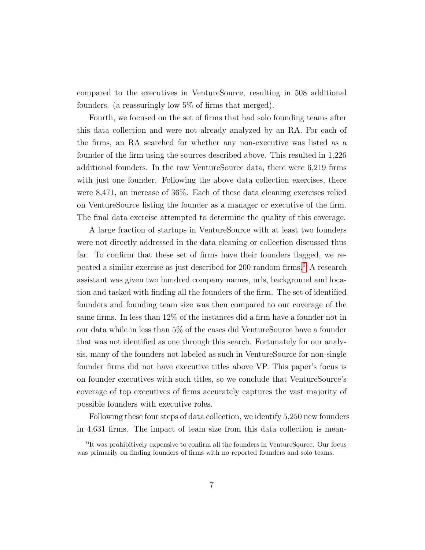compared to the executives in VentureSource, resulting in 508 additional founders. (a reassuringly low 5% of firms that merged).

Fourth, we focused on the set of firms that had solo founding teams after this data collection and were not already analyzed by an RA. For each of the firms, an RA searched for whether any non-executive was listed as a founder of the firm using the sources described above. This resulted in 1,226 additional founders. In the raw VentureSource data, there were 6,219 firms with just one founder. Following the above data collection exercises, there were 8,471, an increase of 36%. Each of these data cleaning exercises relied on VentureSource listing the founder as a manager or executive of the firm. The final data exercise attempted to determine the quality of this coverage.

A large fraction of startups in VentureSource with at least two founders were not directly addressed in the data cleaning or collection discussed thus far. To confirm that these set of firms have their founders flagged, we repeated a similar exercise as just described for 200 random firms.[6](#page-6-0) A research assistant was given two hundred company names, urls, background and location and tasked with finding all the founders of the firm. The set of identified founders and founding team size was then compared to our coverage of the same firms. In less than 12% of the instances did a firm have a founder not in our data while in less than 5% of the cases did VentureSource have a founder that was not identified as one through this search. Fortunately for our analysis, many of the founders not labeled as such in VentureSource for non-single founder firms did not have executive titles above VP. This paper's focus is on founder executives with such titles, so we conclude that VentureSource's coverage of top executives of firms accurately captures the vast majority of possible founders with executive roles.

Following these four steps of data collection, we identify 5,250 new founders in 4,631 firms. The impact of team size from this data collection is mean-

<span id="page-6-0"></span><sup>6</sup> It was prohibitively expensive to confirm all the founders in VentureSource. Our focus was primarily on finding founders of firms with no reported founders and solo teams.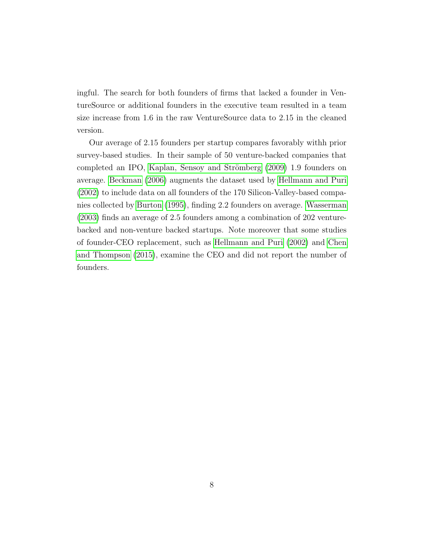ingful. The search for both founders of firms that lacked a founder in VentureSource or additional founders in the executive team resulted in a team size increase from 1.6 in the raw VentureSource data to 2.15 in the cleaned version.

Our average of 2.15 founders per startup compares favorably withh prior survey-based studies. In their sample of 50 venture-backed companies that completed an IPO, Kaplan, Sensoy and Strömberg [\(2009\)](#page-8-1) 1.9 founders on average. [Beckman](#page-8-2) [\(2006\)](#page-8-2) augments the dataset used by [Hellmann and Puri](#page-8-0) [\(2002\)](#page-8-0) to include data on all founders of the 170 Silicon-Valley-based companies collected by [Burton](#page-8-3) [\(1995\)](#page-8-3), finding 2.2 founders on average. [Wasserman](#page-8-4) [\(2003\)](#page-8-4) finds an average of 2.5 founders among a combination of 202 venturebacked and non-venture backed startups. Note moreover that some studies of founder-CEO replacement, such as [Hellmann and Puri](#page-8-0) [\(2002\)](#page-8-0) and [Chen](#page-8-5) [and Thompson](#page-8-5) [\(2015\)](#page-8-5), examine the CEO and did not report the number of founders.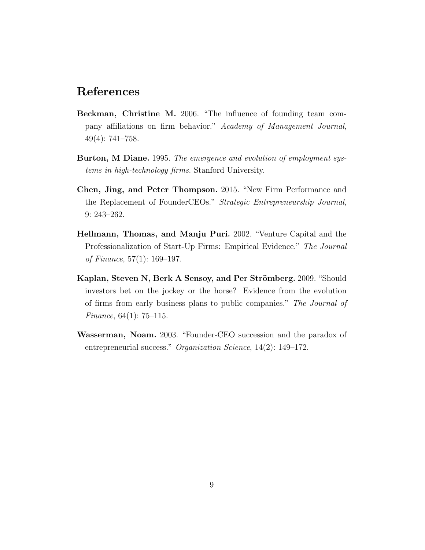## References

- <span id="page-8-2"></span>Beckman, Christine M. 2006. "The influence of founding team company affiliations on firm behavior." Academy of Management Journal, 49(4): 741–758.
- <span id="page-8-3"></span>Burton, M Diane. 1995. The emergence and evolution of employment systems in high-technology firms. Stanford University.
- <span id="page-8-5"></span>Chen, Jing, and Peter Thompson. 2015. "New Firm Performance and the Replacement of FounderCEOs." Strategic Entrepreneurship Journal, 9: 243–262.
- <span id="page-8-0"></span>Hellmann, Thomas, and Manju Puri. 2002. "Venture Capital and the Professionalization of Start-Up Firms: Empirical Evidence." The Journal of Finance, 57(1): 169–197.
- <span id="page-8-1"></span>Kaplan, Steven N, Berk A Sensoy, and Per Strömberg. 2009. "Should investors bet on the jockey or the horse? Evidence from the evolution of firms from early business plans to public companies." The Journal of Finance, 64(1): 75–115.
- <span id="page-8-4"></span>Wasserman, Noam. 2003. "Founder-CEO succession and the paradox of entrepreneurial success." Organization Science, 14(2): 149–172.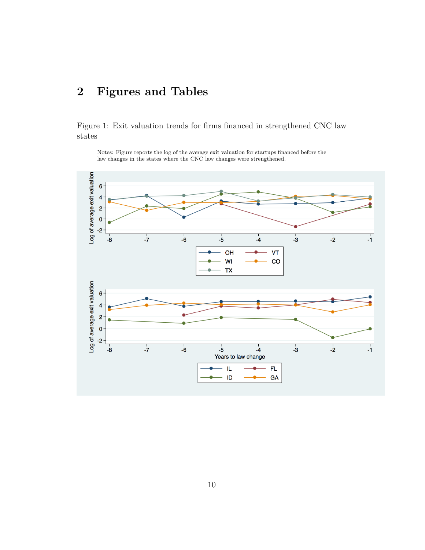# 2 Figures and Tables

Figure 1: Exit valuation trends for firms financed in strengthened CNC law states

Notes: Figure reports the log of the average exit valuation for startups financed before the law changes in the states where the CNC law changes were strengthened.

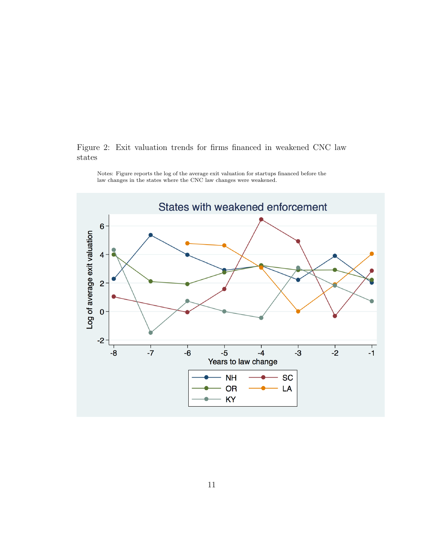### Figure 2: Exit valuation trends for firms financed in weakened CNC law states



Notes: Figure reports the log of the average exit valuation for startups financed before the law changes in the states where the CNC law changes were weakened.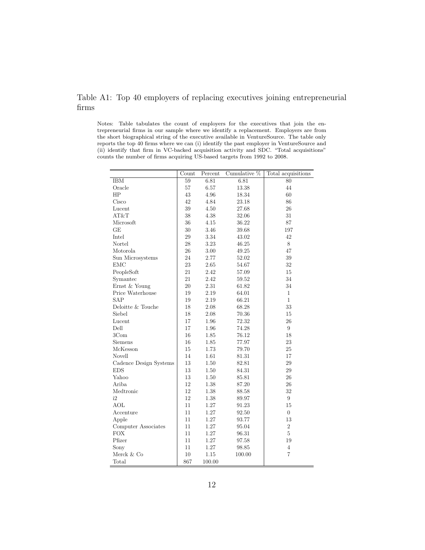## Table A1: Top 40 employers of replacing executives joining entrepreneurial firms

Notes: Table tabulates the count of employers for the executives that join the entrepreneurial firms in our sample where we identify a replacement. Employers are from the short biographical string of the executive available in VentureSource. The table only reports the top 40 firms where we can (i) identify the past employer in VentureSource and (ii) identify that firm in VC-backed acquisition activity and SDC. "Total acquisitions" counts the number of firms acquiring US-based targets from 1992 to 2008.

|                        | Count           | Percent  | Cumulative $\%$ | Total acquisitions |
|------------------------|-----------------|----------|-----------------|--------------------|
| <b>IBM</b>             | $\overline{59}$ | 6.81     | 6.81            | 80                 |
| Oracle                 | 57              | 6.57     | 13.38           | 44                 |
| HP                     | 43              | 4.96     | 18.34           | 60                 |
| Cisco                  | 42              | 4.84     | 23.18           | 86                 |
| Lucent                 | 39              | 4.50     | 27.68           | 26                 |
| AT&T                   | 38              | 4.38     | 32.06           | 31                 |
| Microsoft              | 36              | 4.15     | 36.22           | 87                 |
| GЕ                     | 30              | 3.46     | 39.68           | 197                |
| Intel                  | 29              | 3.34     | 43.02           | 42                 |
| Nortel                 | 28              | 3.23     | 46.25           | $8\,$              |
| Motorola               | 26              | 3.00     | 49.25           | 47                 |
| Sun Microsystems       | 24              | 2.77     | 52.02           | $39\,$             |
| <b>EMC</b>             | 23              | 2.65     | 54.67           | 32                 |
| PeopleSoft             | 21              | 2.42     | 57.09           | 15                 |
| Symantec               | 21              | 2.42     | 59.52           | 34                 |
| Ernst & Young          | 20              | 2.31     | 61.82           | 34                 |
| Price Waterhouse       | 19              | 2.19     | 64.01           | 1                  |
| <b>SAP</b>             | 19              | 2.19     | 66.21           | $\mathbf{1}$       |
| Deloitte & Touche      | 18              | 2.08     | 68.28           | 33                 |
| Siebel                 | 18              | 2.08     | 70.36           | 15                 |
| Lucent                 | 17              | 1.96     | 72.32           | 26                 |
| Dell                   | 17              | 1.96     | 74.28           | 9                  |
| 3Com                   | 16              | 1.85     | 76.12           | 18                 |
| Siemens                | 16              | 1.85     | 77.97           | 23                 |
| McKesson               | 15              | 1.73     | 79.70           | 25                 |
| Novell                 | 14              | 1.61     | 81.31           | 17                 |
| Cadence Design Systems | 13              | 1.50     | 82.81           | 29                 |
| <b>EDS</b>             | 13              | 1.50     | 84.31           | 29                 |
| Yahoo                  | 13              | 1.50     | 85.81           | 26                 |
| Ariba                  | 12              | 1.38     | 87.20           | 26                 |
| Medtronic              | 12              | 1.38     | 88.58           | 32                 |
| i2                     | 12              | 1.38     | 89.97           | $\boldsymbol{9}$   |
| <b>AOL</b>             | 11              | 1.27     | 91.23           | 15                 |
| Accenture              | 11              | $1.27\,$ | 92.50           | $\overline{0}$     |
| Apple                  | 11              | 1.27     | 93.77           | 13                 |
| Computer Associates    | 11              | 1.27     | 95.04           | $\,2$              |
| <b>FOX</b>             | 11              | 1.27     | 96.31           | 5                  |
| Pfizer                 | 11              | 1.27     | 97.58           | 19                 |
| Sony                   | 11              | 1.27     | 98.85           | $\overline{4}$     |
| Merck $\&$ Co          | 10              | 1.15     | 100.00          | $\overline{7}$     |
| Total                  | 867             | 100.00   |                 |                    |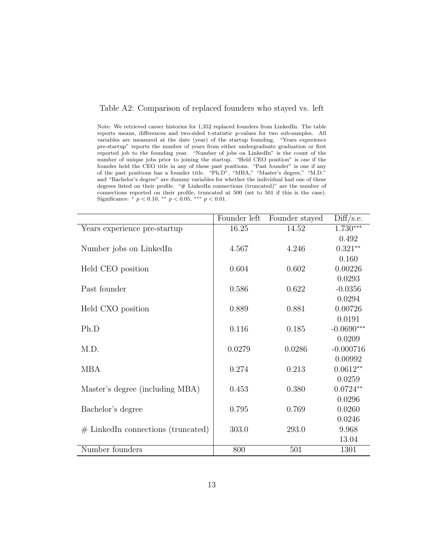### Table A2: Comparison of replaced founders who stayed vs. left

Note: We retrieved career histories for 1,352 replaced founders from LinkedIn. The table reports means, differences and two-sided t-statistic p-values for two sub-samples. All variables are measured at the date (year) of the startup founding. "Years experience pre-startup" reports the number of years from either undergraduate graduation or first reported job to the founding year. "Number of jobs on LinkedIn" is the count of the number of unique jobs prior to joining the startup. "Held CEO position" is one if the founder held the CEO title in any of these past positions. "Past founder" is one if any of the past positions has a founder title. "Ph.D", "MBA," "Master's degree," "M.D." and "Bachelor's degree" are dummy variables for whether the individual had one of these degrees listed on their profile. "# LinkedIn connections (truncated)" are the number of connections reported on their profile, truncated at 500 (set to 501 if this is the case). Significance:  $p < 0.10, \nu * p < 0.05, \nu * p < 0.01$ .

|                                      | Founder left | Founder stayed | Diff/s.e.    |
|--------------------------------------|--------------|----------------|--------------|
| Years experience pre-startup         | 16.25        | 14.52          | $1.730***$   |
|                                      |              |                | 0.492        |
| Number jobs on LinkedIn              | 4.567        | 4.246          | $0.321**$    |
|                                      |              |                | 0.160        |
| Held CEO position                    | 0.604        | 0.602          | 0.00226      |
|                                      |              |                | 0.0293       |
| Past founder                         | 0.586        | 0.622          | $-0.0356$    |
|                                      |              |                | 0.0294       |
| Held CXO position                    | 0.889        | 0.881          | 0.00726      |
|                                      |              |                | 0.0191       |
| Ph.D                                 | 0.116        | 0.185          | $-0.0690***$ |
|                                      |              |                | 0.0209       |
| M.D.                                 | 0.0279       | 0.0286         | $-0.000716$  |
|                                      |              |                | 0.00992      |
| <b>MBA</b>                           | 0.274        | 0.213          | $0.0612**$   |
|                                      |              |                | 0.0259       |
| Master's degree (including MBA)      | 0.453        | 0.380          | $0.0724**$   |
|                                      |              |                | 0.0296       |
| Bachelor's degree                    | 0.795        | 0.769          | 0.0260       |
|                                      |              |                | 0.0246       |
| $#$ LinkedIn connections (truncated) | 303.0        | 293.0          | 9.968        |
|                                      |              |                | 13.04        |
| Number founders                      | 800          | 501            | 1301         |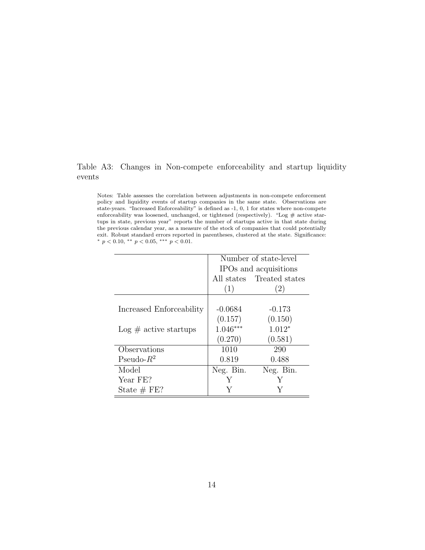### Table A3: Changes in Non-compete enforceability and startup liquidity events

Notes: Table assesses the correlation between adjustments in non-compete enforcement policy and liquidity events of startup companies in the same state. Observations are state-years. "Increased Enforceability" is defined as -1, 0, 1 for states where non-compete enforceability was loosened, unchanged, or tightened (respectively). "Log  $\#$  active startups in state, previous year" reports the number of startups active in that state during the previous calendar year, as a measure of the stock of companies that could potentially exit. Robust standard errors reported in parentheses, clustered at the state. Significance: \*  $p < 0.10,$  \*\*  $p < 0.05,$  \*\*\*  $p < 0.01$ .

|                                | Number of state-level |                           |  |  |
|--------------------------------|-----------------------|---------------------------|--|--|
|                                | IPOs and acquisitions |                           |  |  |
|                                |                       | All states Treated states |  |  |
|                                | (1)                   | $\left( 2\right)$         |  |  |
|                                |                       |                           |  |  |
| Increased Enforceability       | $-0.0684$             | $-0.173$                  |  |  |
|                                | (0.157)               | (0.150)                   |  |  |
| $\text{Log}$ # active startups | $1.046***$            | $1.012*$                  |  |  |
|                                | (0.270)               | (0.581)                   |  |  |
| Observations                   | 1010                  | 290                       |  |  |
| Pseudo- $R^2$                  | 0.819                 | 0.488                     |  |  |
| Model                          | Neg. Bin.             | Neg. Bin.                 |  |  |
| Year FE?                       |                       |                           |  |  |
| State $# FE?$                  |                       |                           |  |  |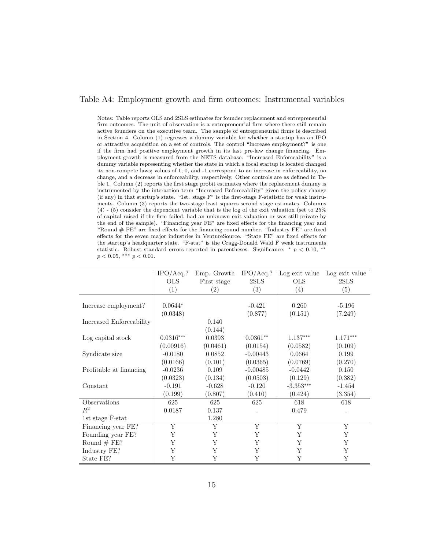### Table A4: Employment growth and firm outcomes: Instrumental variables

Notes: Table reports OLS and 2SLS estimates for founder replacement and entrepreneurial firm outcomes. The unit of observation is a entrepreneurial firm where there still remain active founders on the executive team. The sample of entrepreneurial firms is described in Section 4. Column (1) regresses a dummy variable for whether a startup has an IPO or attractive acquisition on a set of controls. The control "Increase employment?" is one if the firm had positive employment growth in its last pre-law change financing. Employment growth is measured from the NETS database. "Increased Enforceability" is a dummy variable representing whether the state in which a focal startup is located changed its non-compete laws; values of 1, 0, and -1 correspond to an increase in enforceability, no change, and a decrease in enforceability, respectively. Other controls are as defined in Table 1. Column (2) reports the first stage probit estimates where the replacement dummy is instrumented by the interaction term "Increased Enforceability" given the policy change (if any) in that startup's state. "1st. stage F" is the first-stage F-statistic for weak instruments. Column (3) reports the two-stage least squares second stage estimates. Columns (4) - (5) consider the dependent variable that is the log of the exit valuation (set to 25% of capital raised if the firm failed, had an unknown exit valuation or was still private by the end of the sample). "Financing year FE" are fixed effects for the financing year and "Round  $\#$  FE" are fixed effects for the financing round number. "Industry FE" are fixed effects for the seven major industries in VentureSource. "State FE" are fixed effects for the startup's headquarter state. "F-stat" is the Cragg-Donald Wald F weak instruments statistic. Robust standard errors reported in parentheses. Significance: \*  $p < 0.10$ , \*\*  $p < 0.05$ , \*\*\*  $p < 0.01$ .

|                          | $\overline{\text{IPO/Acq}}$ .? | Emp. Growth | $IPO/Acq$ .?   | Log exit value | Log exit value |
|--------------------------|--------------------------------|-------------|----------------|----------------|----------------|
|                          | <b>OLS</b>                     | First stage | 2SLS           | <b>OLS</b>     | 2SLS           |
|                          | (1)                            | (2)         | (3)            | (4)            | (5)            |
|                          |                                |             |                |                |                |
| Increase employment?     | $0.0644*$                      |             | $-0.421$       | 0.260          | $-5.196$       |
|                          | (0.0348)                       |             | (0.877)        | (0.151)        | (7.249)        |
| Increased Enforceability |                                | 0.140       |                |                |                |
|                          |                                | (0.144)     |                |                |                |
| Log capital stock        | $0.0316***$                    | 0.0393      | $0.0361**$     | $1.137***$     | $1.171***$     |
|                          | (0.00916)                      | (0.0461)    | (0.0154)       | (0.0582)       | (0.109)        |
| Syndicate size           | $-0.0180$                      | 0.0852      | $-0.00443$     | 0.0664         | 0.199          |
|                          | (0.0166)                       | (0.101)     | (0.0365)       | (0.0769)       | (0.270)        |
| Profitable at financing  | $-0.0236$                      | 0.109       | $-0.00485$     | $-0.0442$      | 0.150          |
|                          | (0.0323)                       | (0.134)     | (0.0503)       | (0.129)        | (0.382)        |
| Constant                 | $-0.191$                       | $-0.628$    | $-0.120$       | $-3.353***$    | $-1.454$       |
|                          | (0.199)                        | (0.807)     | (0.410)        | (0.424)        | (3.354)        |
| Observations             | 625                            | 625         | 625            | 618            | 618            |
| $R^2$                    | 0.0187                         | 0.137       |                | 0.479          |                |
| 1st stage F-stat         |                                | 1.280       |                |                |                |
| Financing year FE?       | Y                              | Y           | $\overline{Y}$ | Y              | Y              |
| Founding year FE?        | Y                              | Y           | Y              | Y              | Y              |
| Round $# FE$ ?           | Y                              | Y           | Y              | Y              | Y              |
| Industry FE?             | Y                              | Y           | Y              | Y              | Y              |
| State FE?                | Y                              | Y           | Y              | Y              | Y              |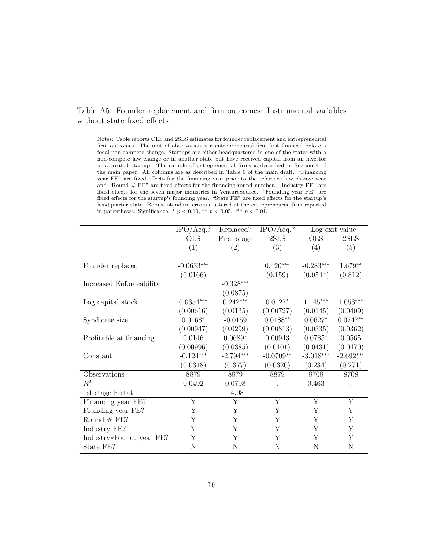### Table A5: Founder replacement and firm outcomes: Instrumental variables without state fixed effects

Notes: Table reports OLS and 2SLS estimates for founder replacement and entrepreneurial firm outcomes. The unit of observation is a entrepreneurial firm first financed before a focal non-compete change. Startups are either headquartered in one of the states with a non-compete law change or in another state but have received capital from an investor in a treated startup. The sample of entrepreneurial firms is described in Section 4 of the main paper. All columns are as described in Table 9 of the main draft. "Financing year FE" are fixed effects for the financing year prior to the reference law change year and "Round # FE" are fixed effects for the financing round number. "Industry FE" are fixed effects for the seven major industries in VentureSource. "Founding year FE" are fixed effects for the startup's founding year. "State FE" are fixed effects for the startup's headquarter state. Robust standard errors clustered at the entrepreneurial firm reported in parentheses. Significance:  $*$   $p < 0.10$ ,  $*$   $*$   $p < 0.05$ ,  $*$   $*$   $*$   $p < 0.01$ .

|                          | $IPO/Acq$ .?<br>$IPO/Acq$ .?<br>Replaced? |                         | Log exit value |                         |                         |
|--------------------------|-------------------------------------------|-------------------------|----------------|-------------------------|-------------------------|
|                          | <b>OLS</b>                                | First stage             | $2{\rm SLS}$   | <b>OLS</b>              | 2SLS                    |
|                          | (1)                                       | (2)                     | (3)            | (4)                     | (5)                     |
|                          |                                           |                         |                |                         |                         |
| Founder replaced         | $-0.0633***$                              |                         | $0.420***$     | $-0.283***$             | $1.679**$               |
|                          | (0.0166)                                  |                         | (0.159)        | (0.0544)                | (0.812)                 |
| Increased Enforceability |                                           | $-0.328***$             |                |                         |                         |
|                          |                                           | (0.0875)                |                |                         |                         |
| Log capital stock        | $0.0354^{***}\,$                          | $0.242***$              | $0.0127*$      | $1.145^{\ast\ast\ast}$  | $1.053***$              |
|                          | (0.00616)                                 | (0.0135)                | (0.00727)      | (0.0145)                | (0.0409)                |
| Syndicate size           | $0.0168*$                                 | $-0.0159$               | $0.0188**$     | $0.0627*$               | $0.0747**$              |
|                          | (0.00947)                                 | (0.0299)                | (0.00813)      | (0.0335)                | (0.0362)                |
| Profitable at financing  | 0.0146                                    | $0.0689*$               | 0.00943        | $0.0785*$               | 0.0565                  |
|                          | (0.00996)                                 | (0.0385)                | (0.0101)       | (0.0431)                | (0.0470)                |
| Constant                 | $-0.124***$                               | $-2.794***$             | $-0.0709**$    | $-3.018***$             | $-2.692***$             |
|                          | (0.0348)                                  | (0.377)                 | (0.0320)       | (0.234)                 | (0.271)                 |
| Observations             | 8879                                      | 8879                    | 8879           | 8708                    | 8708                    |
| $\mathbb{R}^2$           | 0.0492                                    | 0.0798                  |                | 0.463                   |                         |
| 1st stage F-stat         |                                           | 14.08                   |                |                         |                         |
| Financing year FE?       | $\overline{\mathrm{Y}}$                   | $\overline{\mathrm{Y}}$ | Y              | $\overline{\mathrm{Y}}$ | $\overline{\mathrm{Y}}$ |
| Founding year FE?        | Y                                         | Y                       | Y              | Y                       | Y                       |
| Round $# FE$ ?           | Y                                         | Y                       | Y              | Y                       | Y                       |
| Industry FE?             | Y                                         | Y                       | Y              | Y                       | Y                       |
| Industry*Found. year FE? | Y                                         | Y                       | Y              | Y                       | Υ                       |
| State FE?                | N                                         | N                       | N              | N                       | $\mathbf N$             |